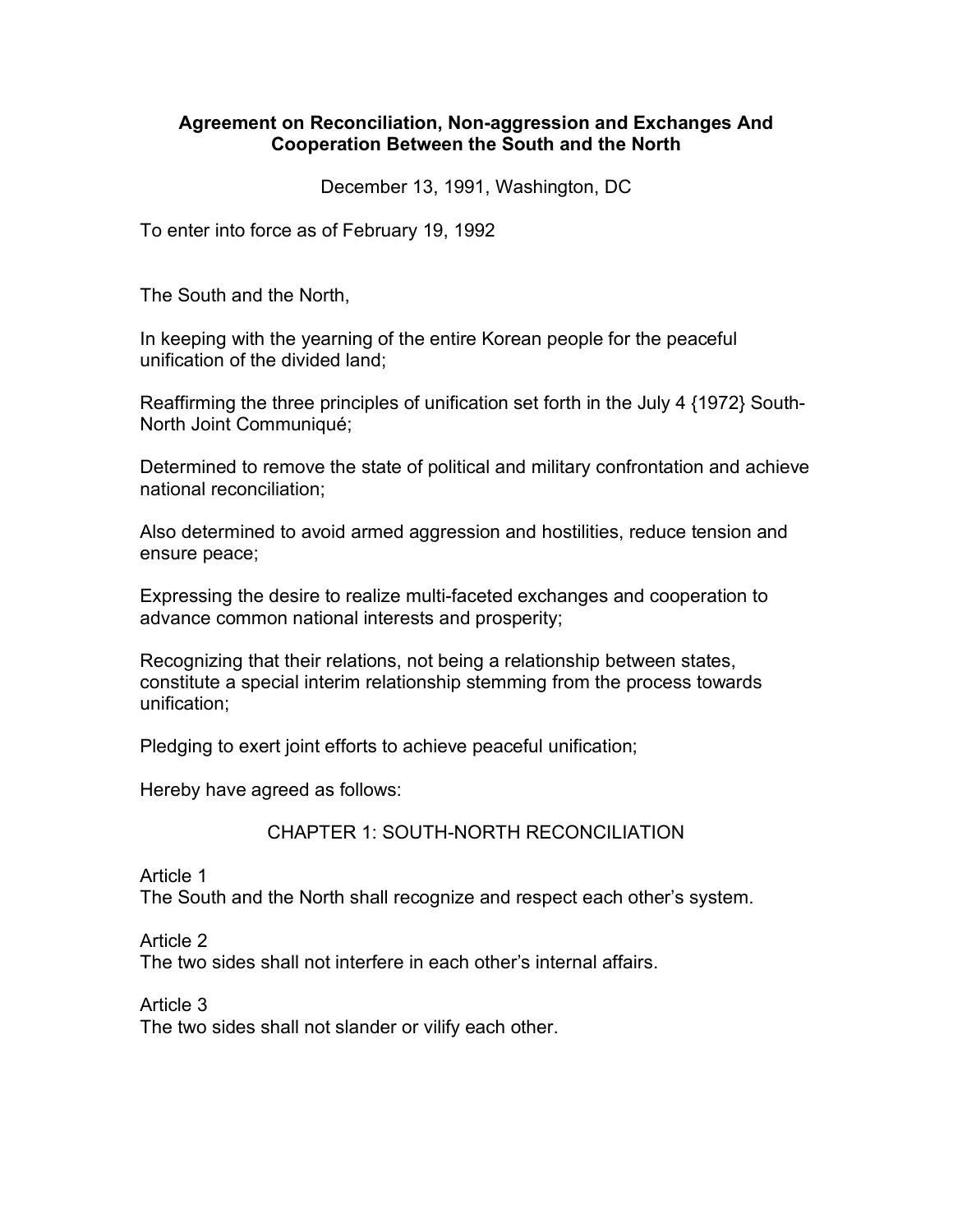### **Agreement on Reconciliation, Non-aggression and Exchanges And Cooperation Between the South and the North**

December 13, 1991, Washington, DC

To enter into force as of February 19, 1992

The South and the North,

In keeping with the yearning of the entire Korean people for the peaceful unification of the divided land;

Reaffirming the three principles of unification set forth in the July 4 {1972} South-North Joint Communiqué;

Determined to remove the state of political and military confrontation and achieve national reconciliation;

Also determined to avoid armed aggression and hostilities, reduce tension and ensure peace;

Expressing the desire to realize multi-faceted exchanges and cooperation to advance common national interests and prosperity;

Recognizing that their relations, not being a relationship between states, constitute a special interim relationship stemming from the process towards unification;

Pledging to exert joint efforts to achieve peaceful unification;

Hereby have agreed as follows:

CHAPTER 1: SOUTH-NORTH RECONCILIATION

Article 1

The South and the North shall recognize and respect each other's system.

Article 2

The two sides shall not interfere in each other's internal affairs.

Article 3

The two sides shall not slander or vilify each other.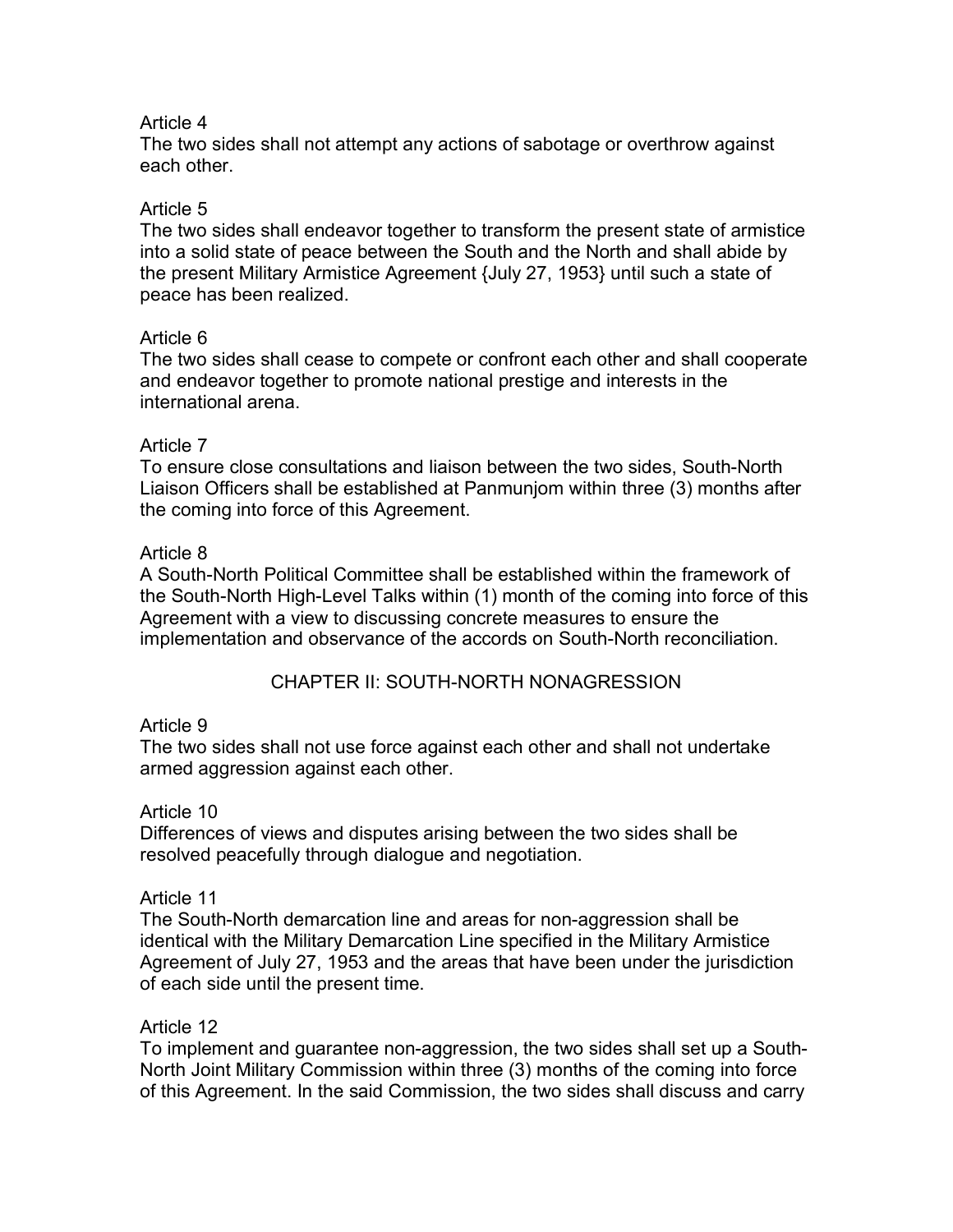### Article 4

The two sides shall not attempt any actions of sabotage or overthrow against each other.

### Article 5

The two sides shall endeavor together to transform the present state of armistice into a solid state of peace between the South and the North and shall abide by the present Military Armistice Agreement {July 27, 1953} until such a state of peace has been realized.

### Article 6

The two sides shall cease to compete or confront each other and shall cooperate and endeavor together to promote national prestige and interests in the international arena.

### Article 7

To ensure close consultations and liaison between the two sides, South-North Liaison Officers shall be established at Panmunjom within three (3) months after the coming into force of this Agreement.

### Article 8

A South-North Political Committee shall be established within the framework of the South-North High-Level Talks within (1) month of the coming into force of this Agreement with a view to discussing concrete measures to ensure the implementation and observance of the accords on South-North reconciliation.

### CHAPTER II: SOUTH-NORTH NONAGRESSION

### Article 9

The two sides shall not use force against each other and shall not undertake armed aggression against each other.

### Article 10

Differences of views and disputes arising between the two sides shall be resolved peacefully through dialogue and negotiation.

### Article 11

The South-North demarcation line and areas for non-aggression shall be identical with the Military Demarcation Line specified in the Military Armistice Agreement of July 27, 1953 and the areas that have been under the jurisdiction of each side until the present time.

### Article 12

To implement and guarantee non-aggression, the two sides shall set up a South-North Joint Military Commission within three (3) months of the coming into force of this Agreement. In the said Commission, the two sides shall discuss and carry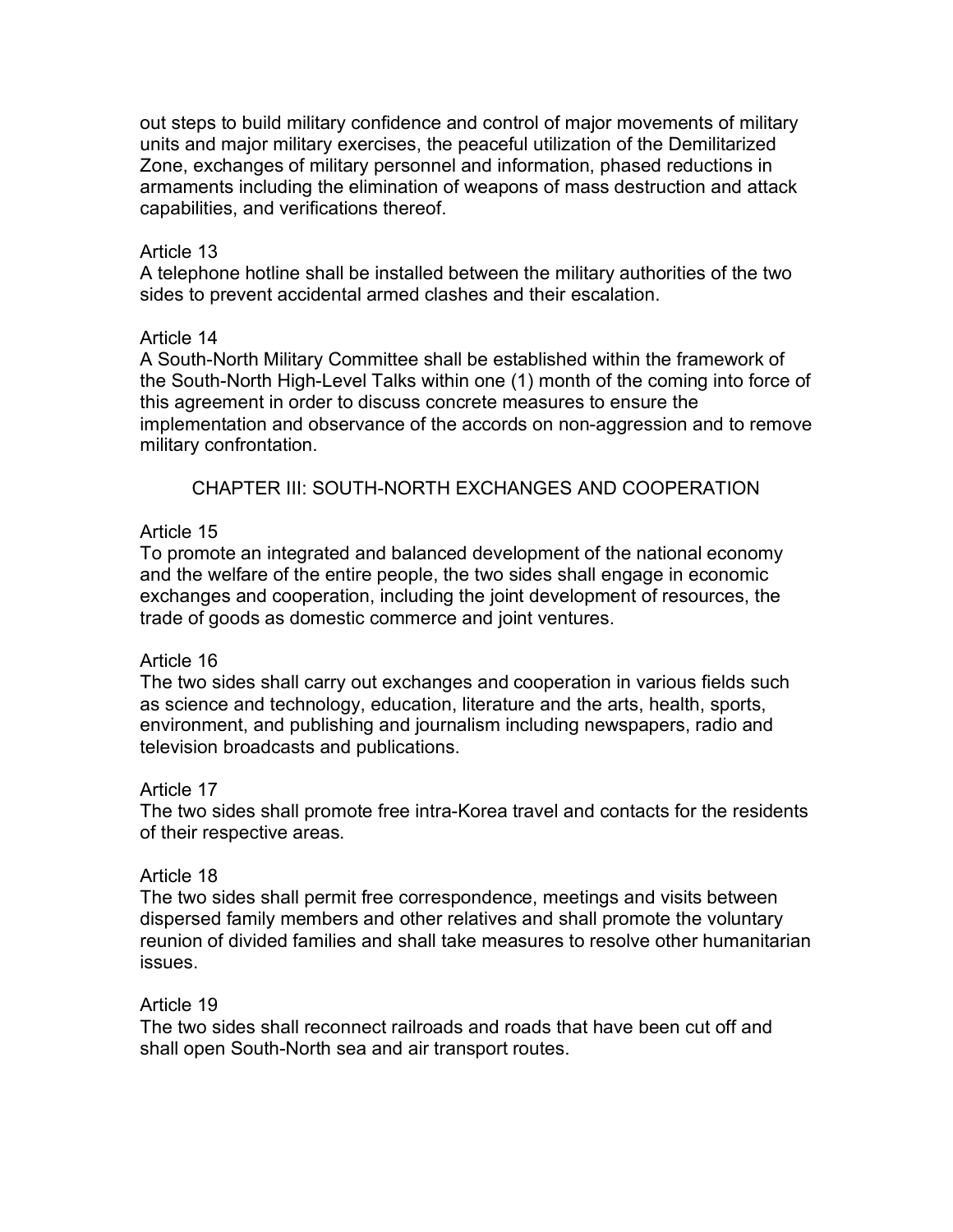out steps to build military confidence and control of major movements of military units and major military exercises, the peaceful utilization of the Demilitarized Zone, exchanges of military personnel and information, phased reductions in armaments including the elimination of weapons of mass destruction and attack capabilities, and verifications thereof.

### Article 13

A telephone hotline shall be installed between the military authorities of the two sides to prevent accidental armed clashes and their escalation.

### Article 14

A South-North Military Committee shall be established within the framework of the South-North High-Level Talks within one (1) month of the coming into force of this agreement in order to discuss concrete measures to ensure the implementation and observance of the accords on non-aggression and to remove military confrontation.

CHAPTER III: SOUTH-NORTH EXCHANGES AND COOPERATION

# Article 15

To promote an integrated and balanced development of the national economy and the welfare of the entire people, the two sides shall engage in economic exchanges and cooperation, including the joint development of resources, the trade of goods as domestic commerce and joint ventures.

### Article 16

The two sides shall carry out exchanges and cooperation in various fields such as science and technology, education, literature and the arts, health, sports, environment, and publishing and journalism including newspapers, radio and television broadcasts and publications.

### Article 17

The two sides shall promote free intra-Korea travel and contacts for the residents of their respective areas.

### Article 18

The two sides shall permit free correspondence, meetings and visits between dispersed family members and other relatives and shall promote the voluntary reunion of divided families and shall take measures to resolve other humanitarian issues.

### Article 19

The two sides shall reconnect railroads and roads that have been cut off and shall open South-North sea and air transport routes.